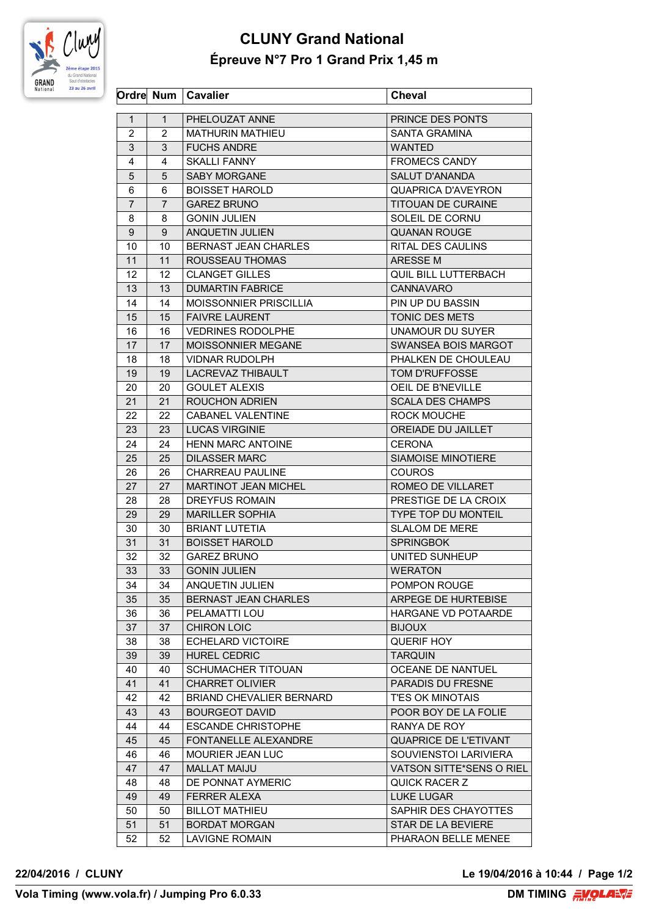

## **CLUNY Grand National Épreuve N°7 Pro 1 Grand Prix 1,45 m**

|                |                | Ordre Num   Cavalier          | <b>Cheval</b>                |
|----------------|----------------|-------------------------------|------------------------------|
| $\mathbf{1}$   | $\mathbf{1}$   | PHELOUZAT ANNE                | PRINCE DES PONTS             |
| $\overline{2}$ | $\overline{2}$ | <b>MATHURIN MATHIEU</b>       | <b>SANTA GRAMINA</b>         |
| 3              | 3              | <b>FUCHS ANDRE</b>            | <b>WANTED</b>                |
| 4              | 4              | <b>SKALLI FANNY</b>           | <b>FROMECS CANDY</b>         |
| 5              | 5              | <b>SABY MORGANE</b>           | SALUT D'ANANDA               |
| 6              | 6              | <b>BOISSET HAROLD</b>         | QUAPRICA D'AVEYRON           |
| $\overline{7}$ | 7              | <b>GAREZ BRUNO</b>            | <b>TITOUAN DE CURAINE</b>    |
| 8              | 8              | <b>GONIN JULIEN</b>           | SOLEIL DE CORNU              |
| 9              | 9              | <b>ANQUETIN JULIEN</b>        | <b>QUANAN ROUGE</b>          |
| 10             | 10             | BERNAST JEAN CHARLES          | RITAL DES CAULINS            |
| 11             | 11             | ROUSSEAU THOMAS               | ARESSE M                     |
| 12             | 12.            | <b>CLANGET GILLES</b>         | QUIL BILL LUTTERBACH         |
| 13             | 13             | <b>DUMARTIN FABRICE</b>       | <b>CANNAVARO</b>             |
| 14             | 14             | <b>MOISSONNIER PRISCILLIA</b> | PIN UP DU BASSIN             |
| 15             | 15             | <b>FAIVRE LAURENT</b>         | TONIC DES METS               |
| 16             | 16             | <b>VEDRINES RODOLPHE</b>      | UNAMOUR DU SUYER             |
| 17             | 17             | MOISSONNIER MEGANE            | SWANSEA BOIS MARGOT          |
|                |                | <b>VIDNAR RUDOLPH</b>         | PHALKEN DE CHOULEAU          |
| 18             | 18<br>19       |                               | <b>TOM D'RUFFOSSE</b>        |
| 19             |                | LACREVAZ THIBAULT             |                              |
| 20             | 20             | <b>GOULET ALEXIS</b>          | OEIL DE B'NEVILLE            |
| 21             | 21             | <b>ROUCHON ADRIEN</b>         | <b>SCALA DES CHAMPS</b>      |
| 22             | 22             | <b>CABANEL VALENTINE</b>      | ROCK MOUCHE                  |
| 23             | 23             | <b>LUCAS VIRGINIE</b>         | OREIADE DU JAILLET           |
| 24             | 24             | <b>HENN MARC ANTOINE</b>      | <b>CERONA</b>                |
| 25             | 25             | <b>DILASSER MARC</b>          | <b>SIAMOISE MINOTIERE</b>    |
| 26             | 26             | <b>CHARREAU PAULINE</b>       | <b>COUROS</b>                |
| 27             | 27             | <b>MARTINOT JEAN MICHEL</b>   | ROMEO DE VILLARET            |
| 28             | 28             | <b>DREYFUS ROMAIN</b>         | PRESTIGE DE LA CROIX         |
| 29             | 29             | <b>MARILLER SOPHIA</b>        | <b>TYPE TOP DU MONTEIL</b>   |
| 30             | 30             | <b>BRIANT LUTETIA</b>         | SLALOM DE MERE               |
| 31             | 31             | <b>BOISSET HAROLD</b>         | <b>SPRINGBOK</b>             |
| 32             | 32             | <b>GAREZ BRUNO</b>            | UNITED SUNHEUP               |
| 33             | 33             | <b>GONIN JULIEN</b>           | <b>WERATON</b>               |
| 34             | 34             | ANQUETIN JULIEN               | POMPON ROUGE                 |
| 35             | 35             | BERNAST JEAN CHARLES          | ARPEGE DE HURTEBISE          |
| 36             | 36             | PELAMATTI LOU                 | HARGANE VD POTAARDE          |
| 37             | 37             | <b>CHIRON LOIC</b>            | <b>BIJOUX</b>                |
| 38             | 38             | <b>ECHELARD VICTOIRE</b>      | QUERIF HOY                   |
| 39             | 39             | <b>HUREL CEDRIC</b>           | <b>TARQUIN</b>               |
| 40             | 40             | SCHUMACHER TITOUAN            | <b>OCEANE DE NANTUEL</b>     |
| 41             | 41             | <b>CHARRET OLIVIER</b>        | PARADIS DU FRESNE            |
| 42             | 42             | BRIAND CHEVALIER BERNARD      | <b>T'ES OK MINOTAIS</b>      |
| 43             | 43             | <b>BOURGEOT DAVID</b>         | POOR BOY DE LA FOLIE         |
| 44             | 44             | <b>ESCANDE CHRISTOPHE</b>     | RANYA DE ROY                 |
| 45             | 45             | FONTANELLE ALEXANDRE          | <b>QUAPRICE DE L'ETIVANT</b> |
| 46             | 46             | MOURIER JEAN LUC              | SOUVIENSTOI LARIVIERA        |
| 47             | 47             | <b>MALLAT MAIJU</b>           | VATSON SITTE*SENS O RIEL     |
| 48             | 48             | DE PONNAT AYMERIC             | QUICK RACER Z                |
| 49             | 49             | <b>FERRER ALEXA</b>           | <b>LUKE LUGAR</b>            |
| 50             | 50             | <b>BILLOT MATHIEU</b>         | SAPHIR DES CHAYOTTES         |
| 51             | 51             | <b>BORDAT MORGAN</b>          | STAR DE LA BEVIERE           |
| 52             | 52             | <b>LAVIGNE ROMAIN</b>         | PHARAON BELLE MENEE          |
|                |                |                               |                              |

**22/04/2016 / CLUNY Le 19/04/2016 à 10:44 / Page 1/2**